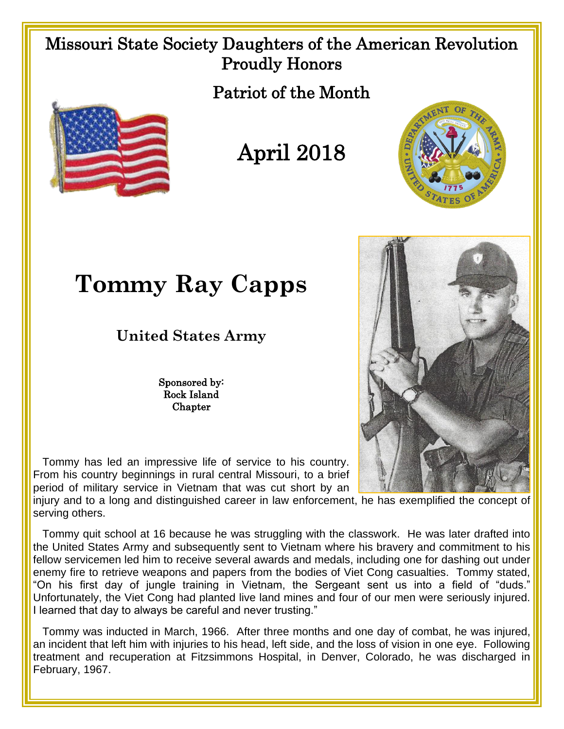## Missouri State Society Daughters of the American Revolution Proudly Honors

Patriot of the Month



April 2018



**Tommy Ray Capps**

**United States Army**

Sponsored by: Rock Island **Chapter** 

 Tommy has led an impressive life of service to his country. From his country beginnings in rural central Missouri, to a brief period of military service in Vietnam that was cut short by an

injury and to a long and distinguished career in law enforcement, he has exemplified the concept of serving others.

 Tommy quit school at 16 because he was struggling with the classwork. He was later drafted into the United States Army and subsequently sent to Vietnam where his bravery and commitment to his fellow servicemen led him to receive several awards and medals, including one for dashing out under enemy fire to retrieve weapons and papers from the bodies of Viet Cong casualties. Tommy stated, "On his first day of jungle training in Vietnam, the Sergeant sent us into a field of "duds." Unfortunately, the Viet Cong had planted live land mines and four of our men were seriously injured. I learned that day to always be careful and never trusting."

 Tommy was inducted in March, 1966. After three months and one day of combat, he was injured, an incident that left him with injuries to his head, left side, and the loss of vision in one eye. Following treatment and recuperation at Fitzsimmons Hospital, in Denver, Colorado, he was discharged in February, 1967.